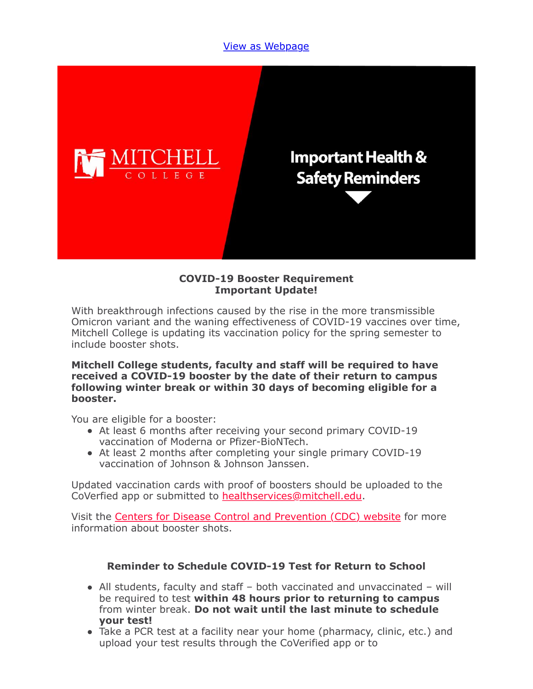### [View as Webpage](https://campaignlp.constantcontact.com/em/1119223208753/d17b5c9e-6899-4277-907c-a1e89f105a0a)



#### **COVID-19 Booster Requirement Important Update!**

With breakthrough infections caused by the rise in the more transmissible Omicron variant and the waning effectiveness of COVID-19 vaccines over time, Mitchell College is updating its vaccination policy for the spring semester to include booster shots.

#### **Mitchell College students, faculty and staff will be required to have received a COVID-19 booster by the date of their return to campus following winter break or within 30 days of becoming eligible for a booster.**

You are eligible for a booster:

- At least 6 months after receiving your second primary COVID-19 vaccination of Moderna or Pfizer-BioNTech.
- At least 2 months after completing your single primary COVID-19 vaccination of Johnson & Johnson Janssen.

Updated vaccination cards with proof of boosters should be uploaded to the CoVerfied app or submitted to [healthservices@mitchell.edu.](mailto:healthservices@mitchell.edu)

Visit the [Centers for Disease Control and Prevention \(CDC\) website](https://www.cdc.gov/coronavirus/2019-ncov/vaccines/booster-shot.html) for more information about booster shots.

## **Reminder to Schedule COVID-19 Test for Return to School**

- All students, faculty and staff both vaccinated and unvaccinated will be required to test **within 48 hours prior to returning to campus** from winter break. **Do not wait until the last minute to schedule your test!**
- Take a PCR test at a facility near your home (pharmacy, clinic, etc.) and upload your test results through the CoVerified app or to